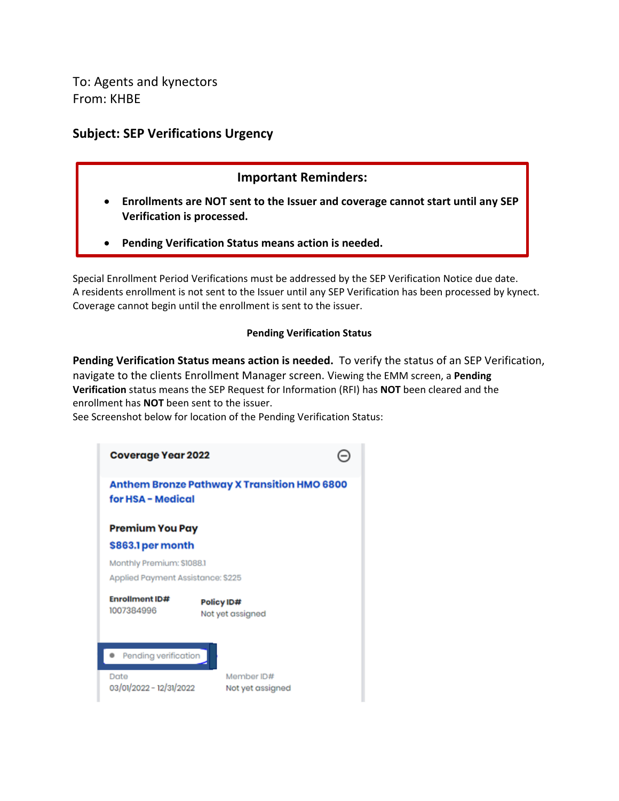To: Agents and kynectors From: KHBE

### **Subject: SEP Verifications Urgency**

#### **Important Reminders:**

- **Enrollments are NOT sent to the Issuer and coverage cannot start until any SEP Verification is processed.**
- **Pending Verification Status means action is needed.**

Special Enrollment Period Verifications must be addressed by the SEP Verification Notice due date. A residents enrollment is not sent to the Issuer until any SEP Verification has been processed by kynect. Coverage cannot begin until the enrollment is sent to the issuer.

#### **Pending Verification Status**

**Pending Verification Status means action is needed.** To verify the status of an SEP Verification, navigate to the clients Enrollment Manager screen. Viewing the EMM screen, a **Pending Verification** status means the SEP Request for Information (RFI) has **NOT** been cleared and the enrollment has **NOT** been sent to the issuer.

See Screenshot below for location of the Pending Verification Status:

| <b>Coverage Year 2022</b>                                               |                                |  |  |  |
|-------------------------------------------------------------------------|--------------------------------|--|--|--|
| <b>Anthem Bronze Pathway X Transition HMO 6800</b><br>for HSA - Medical |                                |  |  |  |
| <b>Premium You Pay</b><br>\$863.1 per month                             |                                |  |  |  |
| Monthly Premium: \$1088.1<br>Applied Payment Assistance: \$225          |                                |  |  |  |
| <b>Enrollment ID#</b><br>1007384996                                     | Policy ID#<br>Not yet assigned |  |  |  |
| Pending verification                                                    |                                |  |  |  |
| Date<br>03/01/2022 - 12/31/2022                                         | Member ID#<br>Not yet assigned |  |  |  |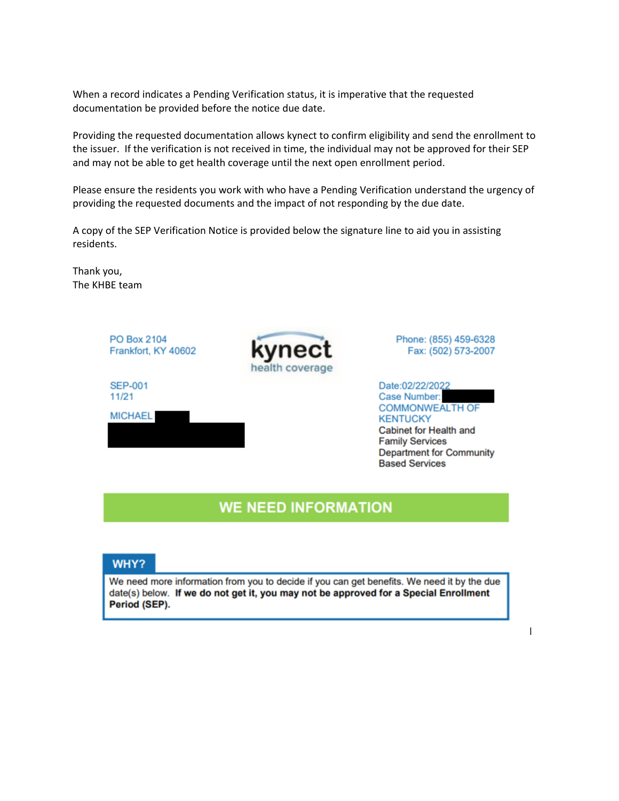When a record indicates a Pending Verification status, it is imperative that the requested documentation be provided before the notice due date.

Providing the requested documentation allows kynect to confirm eligibility and send the enrollment to the issuer. If the verification is not received in time, the individual may not be approved for their SEP and may not be able to get health coverage until the next open enrollment period.

Please ensure the residents you work with who have a Pending Verification understand the urgency of providing the requested documents and the impact of not responding by the due date.

A copy of the SEP Verification Notice is provided below the signature line to aid you in assisting residents.

Thank you, The KHBE team



## **WE NEED INFORMATION**

#### WHY?

We need more information from you to decide if you can get benefits. We need it by the due date(s) below. If we do not get it, you may not be approved for a Special Enrollment Period (SEP).

 $\overline{\phantom{a}}$